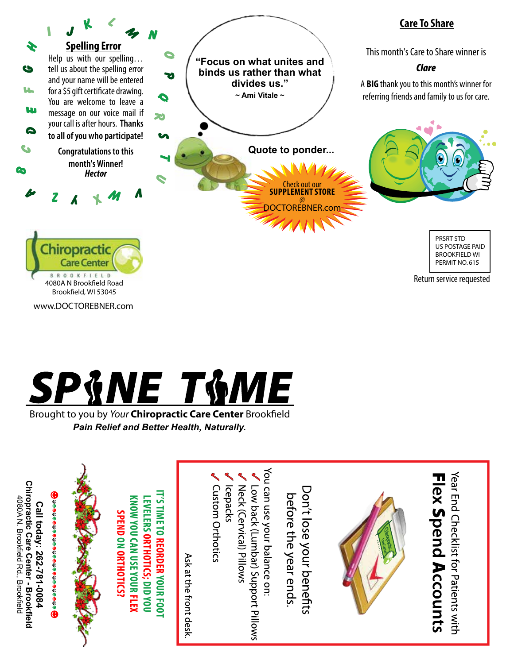



Brought to you by *Your* Chiropractic Care Center Brookfield *Pain Relief and Better Health, Naturally.*